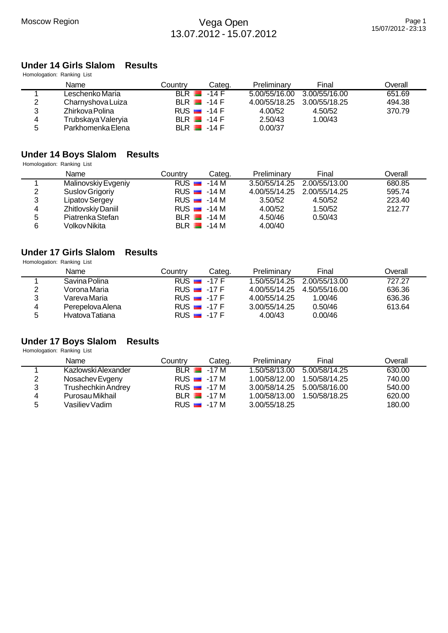# **Under 14 Girls Slalom Results**

| Homologation: Ranking List |                    |                          |        |               |               |         |
|----------------------------|--------------------|--------------------------|--------|---------------|---------------|---------|
|                            | Name               | Countrv                  | Categ. | Preliminary   | Final         | Overall |
|                            | Leschenko Maria    | $BLR$ $-14F$             |        | 5.00/55/16.00 | 3.00/55/16.00 | 651.69  |
| 2                          | Charnyshova Luiza  | $BLR$ $-14F$             |        | 4.00/55/18.25 | 3.00/55/18.25 | 494.38  |
| 3                          | Zhirkova Polina    | RUS $-14$ F              |        | 4.00/52       | 4.50/52       | 370.79  |
| 4                          | Trubskaya Valeryia | BLR $\blacksquare$ -14 F |        | 2.50/43       | 1.00/43       |         |
| 5                          | Parkhomenka Elena  | $BLR$ $-14F$             |        | 0.00/37       |               |         |

## **Under 14 Boys Slalom Results**

Homologation: Ranking List

|   | Name                | Countrv                  | Categ.       | Preliminary | Final                       | Overall |
|---|---------------------|--------------------------|--------------|-------------|-----------------------------|---------|
|   | Malinovskiy Evgeniy | RUS $\blacksquare$ -14 M |              |             | 3.50/55/14.25 2.00/55/13.00 | 680.85  |
| 2 | Suslov Grigoriy     | $RUS = -14 M$            |              |             | 4.00/55/14.25 2.00/55/14.25 | 595.74  |
| 3 | Lipatov Sergey      | $RUS = -14 M$            |              | 3.50/52     | 4.50/52                     | 223.40  |
| 4 | Zhitlovskiy Daniil  | RUS $-14M$               |              | 4.00/52     | 1.50/52                     | 212.77  |
| 5 | Piatrenka Stefan    |                          | $BLR$ $-14M$ | 4.50/46     | 0.50/43                     |         |
| 6 | Volkov Nikita       |                          | $BLR$ $-14M$ | 4.00/40     |                             |         |

#### **Under 17 Girls Slalom Results** Homologation: Ranking List

|   | Name             | Country                  | Categ. | Preliminary                 | Final                       | Overall |  |
|---|------------------|--------------------------|--------|-----------------------------|-----------------------------|---------|--|
|   | Savina Polina    | RUS $\blacksquare$ -17 F |        |                             | 1.50/55/14.25 2.00/55/13.00 | 727.27  |  |
| 2 | Vorona Maria     | RUS $-17F$               |        | 4.00/55/14.25 4.50/55/16.00 |                             | 636.36  |  |
| 3 | Vareva Maria     | RUS $-17F$               |        | 4.00/55/14.25               | 1.00/46                     | 636.36  |  |
| 4 | Perepelova Alena | RUS $-17F$               |        | 3.00/55/14.25               | 0.50/46                     | 613.64  |  |
| 5 | Hvatova Tatiana  | RUS $\blacksquare$ -17 F |        | 4.00/43                     | 0.00/46                     |         |  |

## **Under 17 Boys Slalom Results**

|   | Name                      | Country            | Categ.       | Preliminary                 | Final                       | Overall |
|---|---------------------------|--------------------|--------------|-----------------------------|-----------------------------|---------|
|   | Kazlowski Alexander       |                    | $BLR$ $-17M$ |                             | 1.50/58/13.00 5.00/58/14.25 | 630.00  |
| 2 | Nosachev Evgeny           | $RUS = 17 M$       |              | 1.00/58/12.00               | 1.50/58/14.25               | 740.00  |
| 3 | <b>Trushechkin Andrey</b> | RUS $\equiv$ -17 M |              | 3.00/58/14.25 5.00/58/16.00 |                             | 540.00  |
| 4 | Purosau Mikhail           |                    | $BLR$ $-17M$ | 1.00/58/13.00               | 1.50/58/18.25               | 620.00  |
| 5 | Vasiliev Vadim            | RUS $-17M$         |              | 3.00/55/18.25               |                             | 180.00  |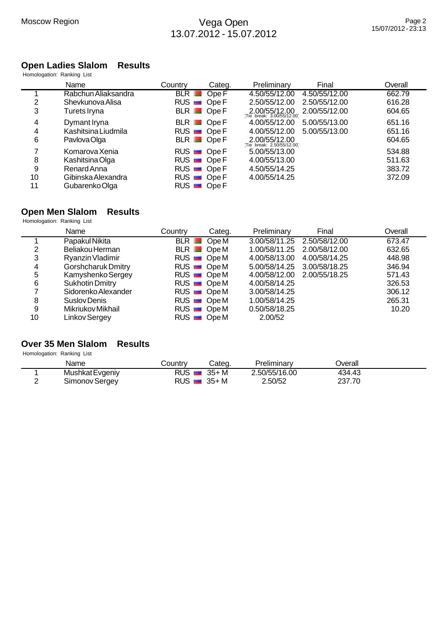#### **Open Ladies Slalom Results**

|    | Homologation: Ranking List |                            |        |               |               |         |
|----|----------------------------|----------------------------|--------|---------------|---------------|---------|
|    | Name                       | Country                    | Categ. | Preliminary   | Final         | Overall |
|    | Rabchun Aliaksandra        | $BLR$ $\blacksquare$       | Ope F  | 4.50/55/12.00 | 4.50/55/12.00 | 662.79  |
| 2  | Shevkunova Alisa           | $RUS$ $\blacksquare$       | Ope F  | 2.50/55/12.00 | 2.50/55/12.00 | 616.28  |
| 3  | Turets Iryna               | $BLR$ Ope F                |        | 2.00/55/12.00 | 2.00/55/12.00 | 604.65  |
| 4  | Dymant Iryna               | $BLR$ Ope F                |        | 4.00/55/12.00 | 5.00/55/13.00 | 651.16  |
| 4  | Kashitsina Liudmila        | $RUS$ $\blacksquare$ Ope F |        | 4.00/55/12.00 | 5.00/55/13.00 | 651.16  |
| 6  | Pavlova Olga               | $BLR$ Ope F                |        | 2.00/55/12.00 |               | 604.65  |
| 7  | Komarova Xenia             | $RUS$ Ope F                |        | 5.00/55/13.00 |               | 534.88  |
| 8  | Kashitsina Olga            | $RUS$ Ope F                |        | 4.00/55/13.00 |               | 511.63  |
| 9  | Renard Anna                | $RUS$ Ope F                |        | 4.50/55/14.25 |               | 383.72  |
| 10 | Gibinska Alexandra         | $RUS$ Ope F                |        | 4.00/55/14.25 |               | 372.09  |
| 11 | Gubarenko Olga             | $RUS$ $\blacksquare$       | Ope F  |               |               |         |

#### **Open Men Slalom Results**

Homologation: Ranking List

|    | Name                | Country | Categ.      | Preliminary   | Final                       | Overall |
|----|---------------------|---------|-------------|---------------|-----------------------------|---------|
|    | Papakul Nikita      |         | $BLR$ OpeM  |               | 3.00/58/11.25 2.50/58/12.00 | 673.47  |
|    | Beliakou Herman     |         | $BLR$ OpeM  | 1.00/58/11.25 | 2.00/58/12.00               | 632.65  |
| 3  | Ryanzin Vladimir    |         | $RUS$ OpeM  | 4.00/58/13.00 | 4.00/58/14.25               | 448.98  |
| 4  | Gorshcharuk Dmitry  |         | $RUS$ OpeM  |               | 5.00/58/14.25 3.00/58/18.25 | 346.94  |
| 5  | Kamyshenko Sergey   |         | $RUS$ OpeM  | 4.00/58/12.00 | 2.00/55/18.25               | 571.43  |
| 6  | Sukhotin Dmitry     |         | $RUS$ Ope M | 4.00/58/14.25 |                             | 326.53  |
|    | Sidorenko Alexander |         | $RUS$ OpeM  | 3.00/58/14.25 |                             | 306.12  |
| 8  | Suslov Denis        |         | $RUS$ OpeM  | 1.00/58/14.25 |                             | 265.31  |
| 9  | Mikriukov Mikhail   |         | $RUS$ OpeM  | 0.50/58/18.25 |                             | 10.20   |
| 10 | Linkov Sergey       |         | $RUS$ OpeM  | 2.00/52       |                             |         |

## **Over 35 Men Slalom Results**

|          | Name            | .ountryٽ                 | Categ.   | Preliminarv   | <b>Jverall</b> |  |
|----------|-----------------|--------------------------|----------|---------------|----------------|--|
|          | Mushkat Evgeniy | RUS.                     | $35 + M$ | 2.50/55/16.00 | 434.43         |  |
| <u>_</u> | Simonov Sergey  | RUS $\blacksquare$ 35+ M |          | 2.50/52       | .70<br>237.    |  |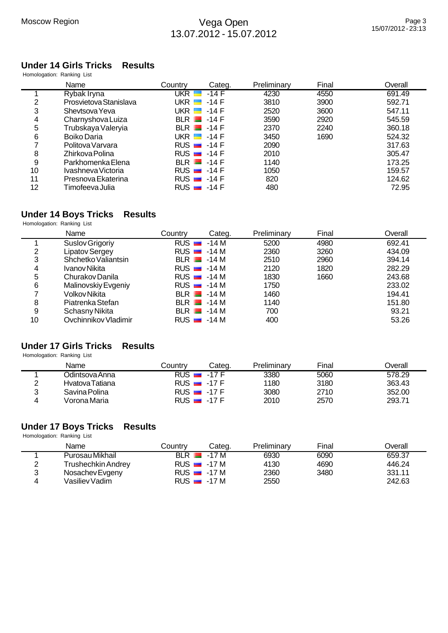#### **Under 14 Girls Tricks Results** Homologation: Ranking List

| Preliminary<br>Categ.<br>Final<br>Overall<br>691.49<br>4230<br>4550<br>3810<br>3900<br>592.71<br>547.11<br>2520<br>3600<br>545.59<br>3590<br>2920<br>2370<br>2240<br>360.18 |              |
|-----------------------------------------------------------------------------------------------------------------------------------------------------------------------------|--------------|
|                                                                                                                                                                             |              |
|                                                                                                                                                                             |              |
|                                                                                                                                                                             |              |
|                                                                                                                                                                             |              |
|                                                                                                                                                                             |              |
|                                                                                                                                                                             |              |
| 1690<br>3450<br>524.32                                                                                                                                                      |              |
| 317.63<br>2090                                                                                                                                                              |              |
| 2010<br>305.47                                                                                                                                                              |              |
| 1140<br>173.25                                                                                                                                                              |              |
| 1050<br>159.57                                                                                                                                                              |              |
| 820<br>124.62                                                                                                                                                               |              |
|                                                                                                                                                                             |              |
|                                                                                                                                                                             | 480<br>72.95 |

## **Under 14 Boys Tricks Results**

Homologation: Ranking List

|    | Name                  | Countrv              | Categ.        | Preliminary | Final | Overall |
|----|-----------------------|----------------------|---------------|-------------|-------|---------|
|    | Suslov Grigoriy       | $RUS$ $\blacksquare$ | -14 M         | 5200        | 4980  | 692.41  |
| 2  | <b>Lipatov Sergey</b> |                      | $RUS = -14 M$ | 2360        | 3260  | 434.09  |
| 3  | Shchetko Valiantsin   |                      | $BLR$ $-14M$  | 2510        | 2960  | 394.14  |
| 4  | Ivanov Nikita         |                      | $RUS = -14 M$ | 2120        | 1820  | 282.29  |
| 5  | Churakov Danila       |                      | $RUS = -14 M$ | 1830        | 1660  | 243.68  |
| 6  | Malinovskiy Evgeniy   |                      | $RUS = -14 M$ | 1750        |       | 233.02  |
|    | Volkov Nikita         |                      | $BLR$ $-14M$  | 1460        |       | 194.41  |
| 8  | Piatrenka Stefan      |                      | $BLR$ $-14M$  | 1140        |       | 151.80  |
| 9  | Schasny Nikita        |                      | $BLR$ $-14M$  | 700         |       | 93.21   |
| 10 | Ovchinnikov Vladimir  |                      | $RUS = -14 M$ | 400         |       | 53.26   |

## **Under 17 Girls Tricks Results**

Homologation: Ranking List

|        | Name            | Countrv              | Categ.                   | Preliminary | Final | <b>Overall</b> |
|--------|-----------------|----------------------|--------------------------|-------------|-------|----------------|
|        | Jdintsova Anna  | $RUS$ $\blacksquare$ | -17 F                    | 3380        | 5060  | 578.29         |
| $\sim$ | Hvatova Tatiana |                      | RUS $\blacksquare$ -17 F | 1180        | 3180  | 363.43         |
| າ      | Savina Polina   |                      | RUS $\blacksquare$ -17 F | 3080        | 2710  | 352.00         |
|        | Vorona Maria    |                      | RUS $\blacksquare$ -17 F | 2010        | 2570  | 293.71         |

# **Under 17 Boys Tricks Results**

| Name               | Countrv              | Categ.                   | Preliminary | Final | Overall |
|--------------------|----------------------|--------------------------|-------------|-------|---------|
| Purosau Mikhail    | $BLR$ $\blacksquare$ | -17 M                    | 6930        | 6090  | 659.37  |
| Trushechkin Andrey |                      | RUS $\blacksquare$ -17 M | 4130        | 4690  | 446.24  |
| Nosachev Evgeny    |                      | $RUS = -17 M$            | 2360        | 3480  | 331.11  |
| Vasiliev Vadim     |                      | RUS $\blacksquare$ -17 M | 2550        |       | 242.63  |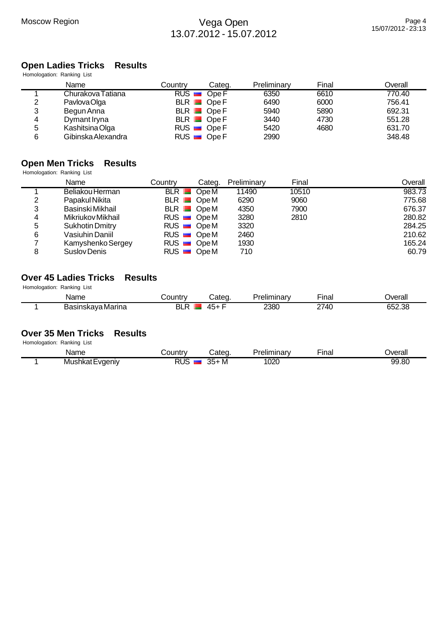# **Open Ladies Tricks Results**

| Homologation: Ranking List |                    |             |             |             |       |         |
|----------------------------|--------------------|-------------|-------------|-------------|-------|---------|
|                            | Name               | Country     | Categ.      | Preliminary | Final | Overall |
|                            | Churakova Tatiana  | $RUS$ Ope F |             | 6350        | 6610  | 770.40  |
| 2                          | Pavlova Olga       |             | BLR Ope F   | 6490        | 6000  | 756.41  |
| 3                          | Begun Anna         |             | $BLR$ Ope F | 5940        | 5890  | 692.31  |
| 4                          | Dymant Iryna       |             | $BLR$ Ope F | 3440        | 4730  | 551.28  |
| 5                          | Kashitsina Olga    | $RUS$ Ope F |             | 5420        | 4680  | 631.70  |
| 6                          | Gibinska Alexandra | $RUS$ Ope F |             | 2990        |       | 348.48  |

# **Open Men Tricks Results**

Homologation: Ranking List

|   | Name              | Country                     | Categ. | Preliminary | Final | Overall |
|---|-------------------|-----------------------------|--------|-------------|-------|---------|
|   | Beliakou Herman   | BLR OpeM                    |        | 11490       | 10510 | 983.73  |
| 2 | Papakul Nikita    | $BLR$ OpeM                  |        | 6290        | 9060  | 775.68  |
| 3 | Basinski Mikhail  | $BLR$ $\blacksquare$ $OpeM$ |        | 4350        | 7900  | 676.37  |
| 4 | Mikriukov Mikhail | $RUS$ OpeM                  |        | 3280        | 2810  | 280.82  |
| 5 | Sukhotin Dmitry   | $RUS$ OpeM                  |        | 3320        |       | 284.25  |
| 6 | Vasiuhin Daniil   | $RUS$ OpeM                  |        | 2460        |       | 210.62  |
|   | Kamyshenko Sergey | $RUS$ OpeM                  |        | 1930        |       | 165.24  |
| 8 | Suslov Denis      | $RUS$ OpeM                  |        | 710         |       | 60.79   |

#### **Over 45 Ladies Tricks Results** Homologation: Ranking List

| TIVIIIVIVYAIIVII. INAHNIIY LIJI |                   |              |        |             |             |          |
|---------------------------------|-------------------|--------------|--------|-------------|-------------|----------|
|                                 | Name              | ⊃ountr∨      | ∵ateɑ. | ⊵reliminarv | --<br>·inai | <b>T</b> |
|                                 | Basinskaya Marina | וכ<br>Ð<br>ᄓ | 45⊥    | 2380        | 2740        | 652.38   |

## **Over 35 Men Tricks Results**

| Name                 | ำuntry | ateo                                                | .<br>еш<br>riiriar v | $- \cdot$<br>∽ınaı<br>_____ | <b>Tyerall</b> |
|----------------------|--------|-----------------------------------------------------|----------------------|-----------------------------|----------------|
| Mushkat L<br>:vaenīv | RUS    | $\sim$ $\sim$<br><b>IVI</b><br>$\sim$ $\sim$<br>ں ر | 020                  |                             | 99.80          |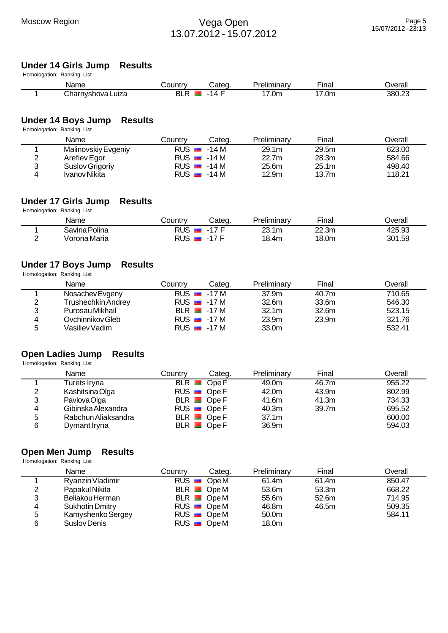## Moscow Region **Nega Open** 13.07.2012 - 15.07.2012

#### **Under 14 Girls Jump Results**

Homologation: Ranking List

| Name                     | ∠ountr     | Cated | المعال<br>.eliminar<br>ninarv | --<br>∵ınaı                      | <b>Tyerall</b> |
|--------------------------|------------|-------|-------------------------------|----------------------------------|----------------|
| Charn∖<br>rnvshova Luiza | DI.<br>. . |       | ′.∪n.                         | $\overline{\phantom{a}}$<br>7.0m | 380.23         |

## **Under 14 Boys Jump Results**

Homologation: Ranking List

|   | Name                | Countrv | Categ.        | Preliminary | Final             | Overall |
|---|---------------------|---------|---------------|-------------|-------------------|---------|
|   | Malinovskiy Evgeniy | RUS     | -14 M         | 29.1m       | 29.5m             | 623.00  |
|   | Arefiev Egor        |         | $RUS = -14 M$ | 22.7m       | 28.3m             | 584.66  |
| 2 | Suslov Grigoriy     |         | $RUS = -14 M$ | 25.6m       | 25.1m             | 498.40  |
|   | Ivanov Nikita       |         | $RUS = -14 M$ | 12.9m       | 13.7 <sub>m</sub> | 118.21  |

### **Under 17 Girls Jump Results**

Homologation: Ranking List

|        | Name          | <b>Country</b> | Categ.       | Preliminary | — .<br>'∽inal | Jverall |
|--------|---------------|----------------|--------------|-------------|---------------|---------|
|        | Savina Polina | RUS.           | .17 F<br>- 1 | 23.1m       | 22.3m         | 425.93  |
| ∽<br>- | Vorona Maria  | <b>RUS</b>     | 17L<br>-     | 18.4m       | 18.0m         | 301.59  |

#### **Under 17 Boys Jump Results**

| Homologation: Ranking List |         |        |                                                                                |                   |         |
|----------------------------|---------|--------|--------------------------------------------------------------------------------|-------------------|---------|
| Name                       | Country | Categ. | Preliminary                                                                    | Final             | Overall |
| Nosachev Evgeny            |         |        | 37.9m                                                                          | 40.7m             | 710.65  |
| <b>Trushechkin Andrey</b>  |         |        | 32.6 <sub>m</sub>                                                              | 33.6m             | 546.30  |
| Purosau Mikhail            |         |        | 32.1 <sub>m</sub>                                                              | 32.6m             | 523.15  |
| Ovchinnikov Gleb           |         |        | 23.9 <sub>m</sub>                                                              | 23.9 <sub>m</sub> | 321.76  |
| Vasiliev Vadim             |         |        | 33.0m                                                                          |                   | 532.41  |
|                            |         |        | $RUS = 17 M$<br>$RUS = 17 M$<br>$BLR$ $-17M$<br>$RUS = -17 M$<br>$RUS = -17 M$ |                   |         |

# **Open Ladies Jump Results**

Homologation: Ranking List

|   | Name                | Country | Categ.      | Preliminary       | Final | Overall |
|---|---------------------|---------|-------------|-------------------|-------|---------|
|   | Turets Iryna        |         | $BLR$ Ope F | 49.0m             | 46.7m | 955.22  |
| 2 | Kashitsina Olga     |         | RUS Ope F   | 42.0m             | 43.9m | 802.99  |
| 3 | Pavlova Olga        |         | $BLR$ Ope F | 41.6m             | 41.3m | 734.33  |
| 4 | Gibinska Alexandra  |         | $RUS$ Ope F | 40.3m             | 39.7m | 695.52  |
| 5 | Rabchun Aliaksandra |         | $BLR$ Ope F | 37.1 <sub>m</sub> |       | 600.00  |
| 6 | Dymant Iryna        |         | $BLR$ Ope F | 36.9m             |       | 594.03  |

## **Open Men Jump Results**

|   | Name                   | Country     | Categ. | Preliminary | Final | Overall |
|---|------------------------|-------------|--------|-------------|-------|---------|
|   | Ryanzin Vladimir       | $RUS$ OpeM  |        | 61.4m       | 61.4m | 850.47  |
| 2 | Papakul Nikita         | $BLR$ OpeM  |        | 53.6m       | 53.3m | 668.22  |
| 3 | Beliakou Herman        | $BLR$ OpeM  |        | 55.6m       | 52.6m | 714.95  |
| 4 | <b>Sukhotin Dmitry</b> | $RUS$ Ope M |        | 46.8m       | 46.5m | 509.35  |
| 5 | Kamyshenko Sergey      | $RUS$ Ope M |        | 50.0m       |       | 584.11  |
| 6 | Suslov Denis           | $RUS$ Ope M |        | 18.0m       |       |         |
|   |                        |             |        |             |       |         |